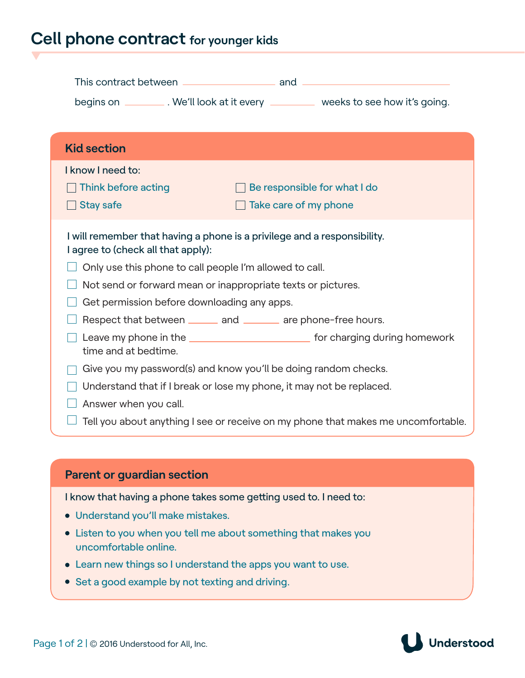## **Cell phone contract for younger kids**

|                                             | begins on __________. We'll look at it every ___________ weeks to see how it's going. |
|---------------------------------------------|---------------------------------------------------------------------------------------|
| <b>Kid section</b>                          |                                                                                       |
| I know I need to:                           |                                                                                       |
| Think before acting                         | $\Box$ Be responsible for what I do                                                   |
| <b>Stay safe</b>                            | $\Box$ Take care of my phone                                                          |
| I agree to (check all that apply):          | I will remember that having a phone is a privilege and a responsibility.              |
|                                             | Only use this phone to call people I'm allowed to call.                               |
|                                             | Not send or forward mean or inappropriate texts or pictures.                          |
| Get permission before downloading any apps. |                                                                                       |
|                                             | Respect that between _______ and _______ are phone-free hours.                        |
| time and at bedtime.                        |                                                                                       |
|                                             | Give you my password(s) and know you'll be doing random checks.                       |
|                                             | Understand that if I break or lose my phone, it may not be replaced.                  |
|                                             |                                                                                       |
| Answer when you call.                       |                                                                                       |

I know that having a phone takes some getting used to. I need to:

- Understand you'll make mistakes.
- Listen to you when you tell me about something that makes you uncomfortable online.
- Learn new things so I understand the apps you want to use.
- Set a good example by not texting and driving.